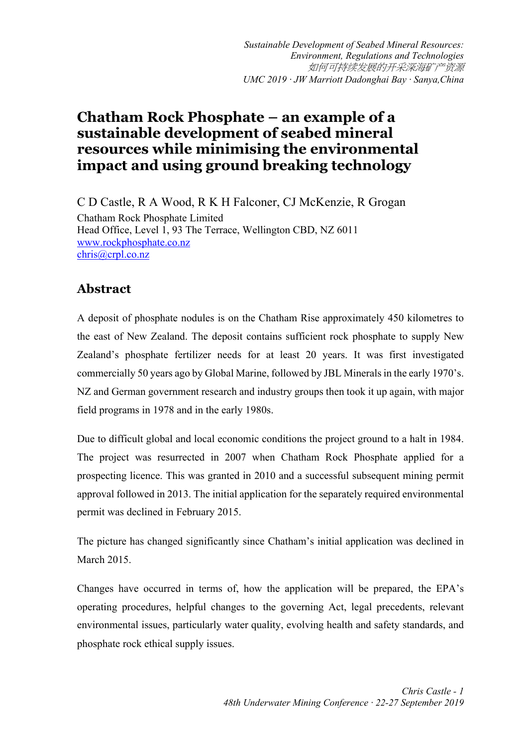*Sustainable Development of Seabed Mineral Resources: Environment, Regulations and Technologies* 如何可持续发展的开采深海矿产资源 *UMC 2019 · JW Marriott Dadonghai Bay · Sanya,China*

## **Chatham Rock Phosphate – an example of a sustainable development of seabed mineral resources while minimising the environmental impact and using ground breaking technology**

C D Castle, R A Wood, R K H Falconer, CJ McKenzie, R Grogan Chatham Rock Phosphate Limited Head Office, Level 1, 93 The Terrace, Wellington CBD, NZ 6011 www.rockphosphate.co.nz chris@crpl.co.nz

## **Abstract**

A deposit of phosphate nodules is on the Chatham Rise approximately 450 kilometres to the east of New Zealand. The deposit contains sufficient rock phosphate to supply New Zealand's phosphate fertilizer needs for at least 20 years. It was first investigated commercially 50 years ago by Global Marine, followed by JBL Minerals in the early 1970's. NZ and German government research and industry groups then took it up again, with major field programs in 1978 and in the early 1980s.

Due to difficult global and local economic conditions the project ground to a halt in 1984. The project was resurrected in 2007 when Chatham Rock Phosphate applied for a prospecting licence. This was granted in 2010 and a successful subsequent mining permit approval followed in 2013. The initial application for the separately required environmental permit was declined in February 2015.

The picture has changed significantly since Chatham's initial application was declined in March 2015.

Changes have occurred in terms of, how the application will be prepared, the EPA's operating procedures, helpful changes to the governing Act, legal precedents, relevant environmental issues, particularly water quality, evolving health and safety standards, and phosphate rock ethical supply issues.